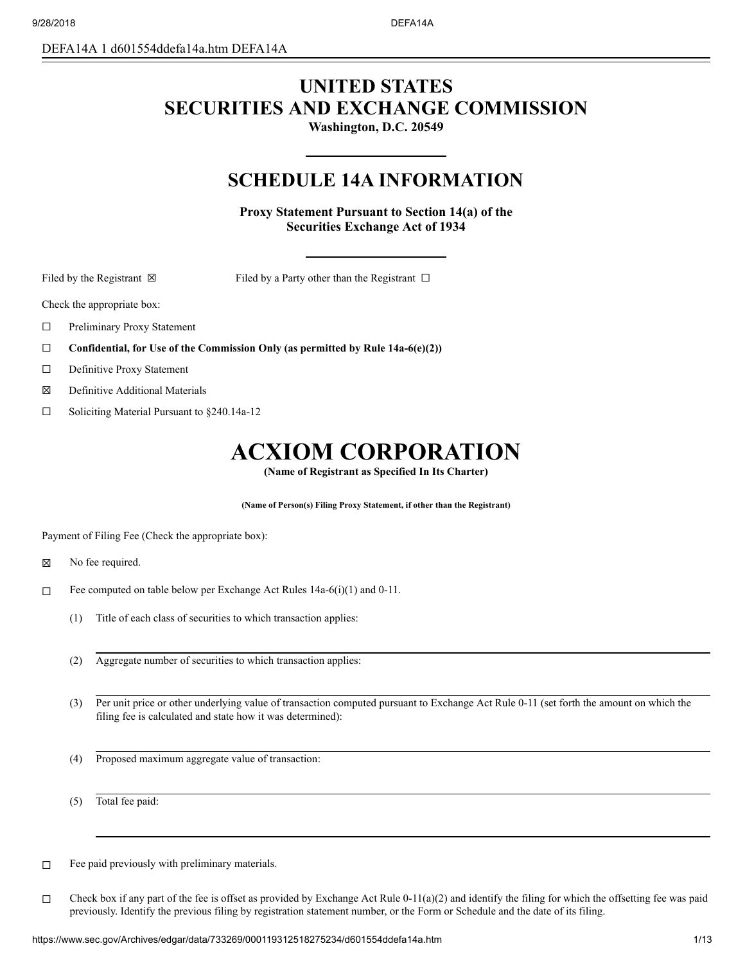DEFA14A 1 d601554ddefa14a.htm DEFA14A

# **UNITED STATES SECURITIES AND EXCHANGE COMMISSION**

**Washington, D.C. 20549**

# **SCHEDULE 14A INFORMATION**

**Proxy Statement Pursuant to Section 14(a) of the Securities Exchange Act of 1934**

Filed by the Registrant  $\boxtimes$  Filed by a Party other than the Registrant  $\Box$ 

Check the appropriate box:

- ☐ Preliminary Proxy Statement
- ☐ **Confidential, for Use of the Commission Only (as permitted by Rule 14a-6(e)(2))**
- ☐ Definitive Proxy Statement
- ☒ Definitive Additional Materials
- ☐ Soliciting Material Pursuant to §240.14a-12

# **ACXIOM CORPORATION**

**(Name of Registrant as Specified In Its Charter)**

**(Name of Person(s) Filing Proxy Statement, if other than the Registrant)**

Payment of Filing Fee (Check the appropriate box):

- $\boxtimes$  No fee required.
- ☐ Fee computed on table below per Exchange Act Rules 14a-6(i)(1) and 0-11.
	- (1) Title of each class of securities to which transaction applies:
	- (2) Aggregate number of securities to which transaction applies:
	- (3) Per unit price or other underlying value of transaction computed pursuant to Exchange Act Rule 0-11 (set forth the amount on which the filing fee is calculated and state how it was determined):
	- (4) Proposed maximum aggregate value of transaction:

(5) Total fee paid:

 $\Box$  Fee paid previously with preliminary materials.

□ Check box if any part of the fee is offset as provided by Exchange Act Rule  $0-11(a)(2)$  and identify the filing for which the offsetting fee was paid previously. Identify the previous filing by registration statement number, or the Form or Schedule and the date of its filing.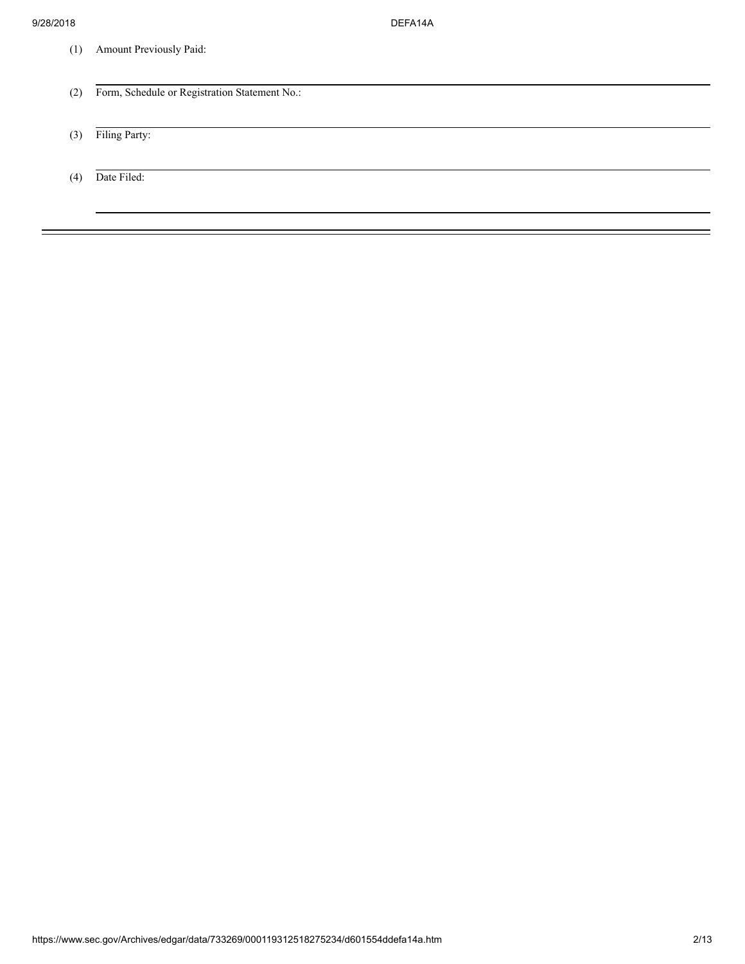(1) Amount Previously Paid:

| (2) | Form, Schedule or Registration Statement No.: |
|-----|-----------------------------------------------|
|     |                                               |
| (3) | Filing Party:                                 |
|     |                                               |
| (4) | Date Filed:                                   |
|     |                                               |
|     |                                               |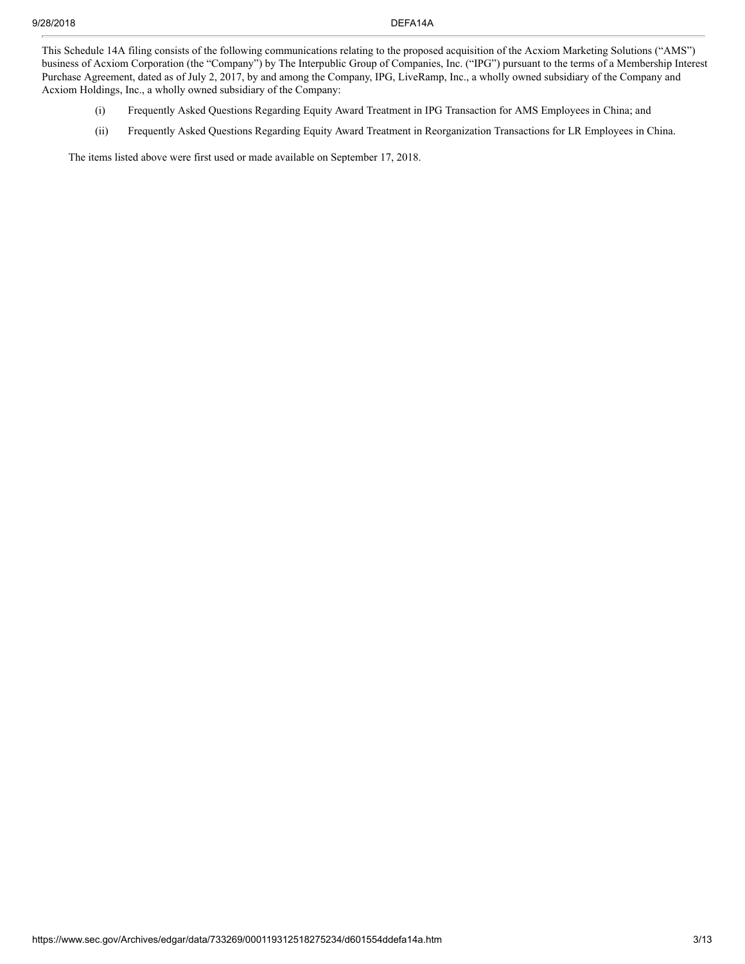This Schedule 14A filing consists of the following communications relating to the proposed acquisition of the Acxiom Marketing Solutions ("AMS") business of Acxiom Corporation (the "Company") by The Interpublic Group of Companies, Inc. ("IPG") pursuant to the terms of a Membership Interest Purchase Agreement, dated as of July 2, 2017, by and among the Company, IPG, LiveRamp, Inc., a wholly owned subsidiary of the Company and Acxiom Holdings, Inc., a wholly owned subsidiary of the Company:

- (i) Frequently Asked Questions Regarding Equity Award Treatment in IPG Transaction for AMS Employees in China; and
- (ii) Frequently Asked Questions Regarding Equity Award Treatment in Reorganization Transactions for LR Employees in China.

The items listed above were first used or made available on September 17, 2018.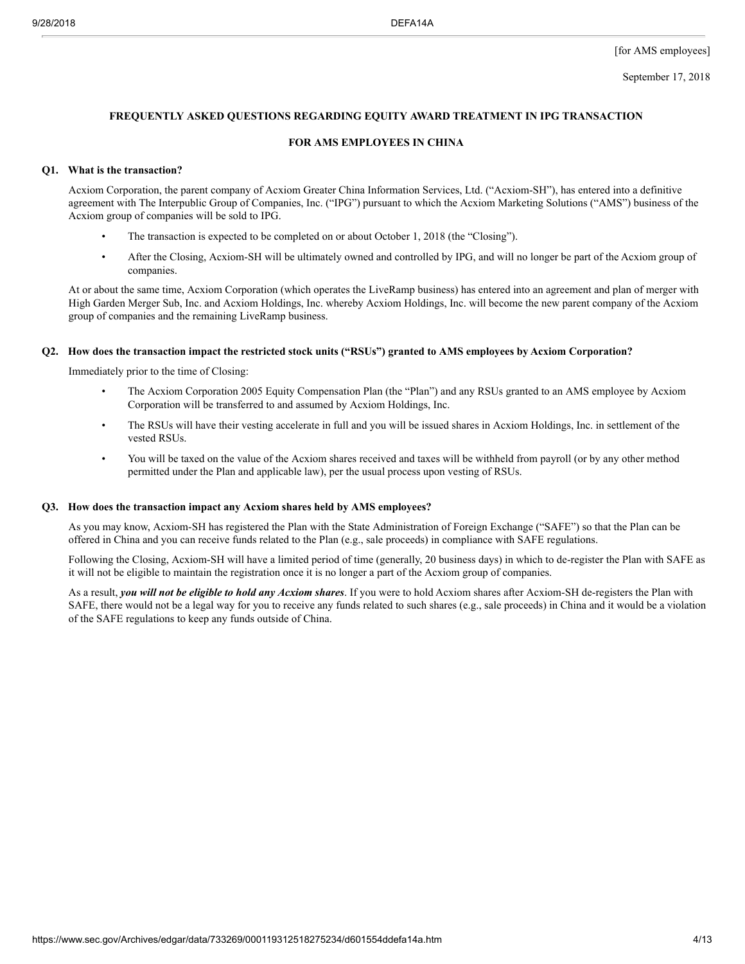# **FREQUENTLY ASKED QUESTIONS REGARDING EQUITY AWARD TREATMENT IN IPG TRANSACTION**

# **FOR AMS EMPLOYEES IN CHINA**

#### **Q1. What is the transaction?**

Acxiom Corporation, the parent company of Acxiom Greater China Information Services, Ltd. ("Acxiom-SH"), has entered into a definitive agreement with The Interpublic Group of Companies, Inc. ("IPG") pursuant to which the Acxiom Marketing Solutions ("AMS") business of the Acxiom group of companies will be sold to IPG.

- The transaction is expected to be completed on or about October 1, 2018 (the "Closing").
- After the Closing, Acxiom-SH will be ultimately owned and controlled by IPG, and will no longer be part of the Acxiom group of companies.

At or about the same time, Acxiom Corporation (which operates the LiveRamp business) has entered into an agreement and plan of merger with High Garden Merger Sub, Inc. and Acxiom Holdings, Inc. whereby Acxiom Holdings, Inc. will become the new parent company of the Acxiom group of companies and the remaining LiveRamp business.

#### Q2. How does the transaction impact the restricted stock units ("RSUs") granted to AMS employees by Acxiom Corporation?

Immediately prior to the time of Closing:

- The Acxiom Corporation 2005 Equity Compensation Plan (the "Plan") and any RSUs granted to an AMS employee by Acxiom Corporation will be transferred to and assumed by Acxiom Holdings, Inc.
- The RSUs will have their vesting accelerate in full and you will be issued shares in Acxiom Holdings, Inc. in settlement of the vested RSUs.
- You will be taxed on the value of the Acxiom shares received and taxes will be withheld from payroll (or by any other method permitted under the Plan and applicable law), per the usual process upon vesting of RSUs.

#### **Q3. How does the transaction impact any Acxiom shares held by AMS employees?**

As you may know, Acxiom-SH has registered the Plan with the State Administration of Foreign Exchange ("SAFE") so that the Plan can be offered in China and you can receive funds related to the Plan (e.g., sale proceeds) in compliance with SAFE regulations.

Following the Closing, Acxiom-SH will have a limited period of time (generally, 20 business days) in which to de-register the Plan with SAFE as it will not be eligible to maintain the registration once it is no longer a part of the Acxiom group of companies.

As a result, *you will not be eligible to hold any Acxiom shares*. If you were to hold Acxiom shares after Acxiom-SH de-registers the Plan with SAFE, there would not be a legal way for you to receive any funds related to such shares (e.g., sale proceeds) in China and it would be a violation of the SAFE regulations to keep any funds outside of China.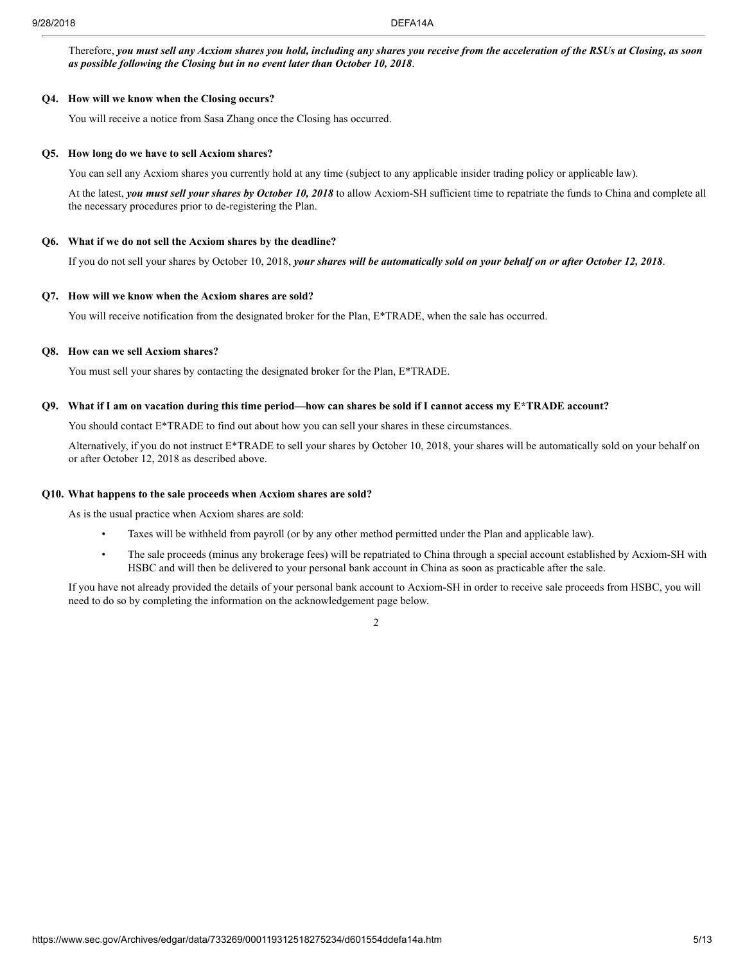Therefore, you must sell any Acxiom shares you hold, including any shares you receive from the acceleration of the RSUs at Closing, as soon *as possible following the Closing but in no event later than October 10, 2018*.

#### **Q4. How will we know when the Closing occurs?**

You will receive a notice from Sasa Zhang once the Closing has occurred.

#### **Q5. How long do we have to sell Acxiom shares?**

You can sell any Acxiom shares you currently hold at any time (subject to any applicable insider trading policy or applicable law).

At the latest, *you must sell your shares by October 10, 2018* to allow Acxiom-SH sufficient time to repatriate the funds to China and complete all the necessary procedures prior to de-registering the Plan.

#### **Q6. What if we do not sell the Acxiom shares by the deadline?**

If you do not sell your shares by October 10, 2018, your shares will be automatically sold on your behalf on or after October 12, 2018.

# **Q7. How will we know when the Acxiom shares are sold?**

You will receive notification from the designated broker for the Plan, E\*TRADE, when the sale has occurred.

# **Q8. How can we sell Acxiom shares?**

You must sell your shares by contacting the designated broker for the Plan, E\*TRADE.

#### Q9. What if I am on vacation during this time period—how can shares be sold if I cannot access my E\*TRADE account?

You should contact E<sup>\*</sup>TRADE to find out about how you can sell your shares in these circumstances.

Alternatively, if you do not instruct E\*TRADE to sell your shares by October 10, 2018, your shares will be automatically sold on your behalf on or after October 12, 2018 as described above.

#### **Q10. What happens to the sale proceeds when Acxiom shares are sold?**

As is the usual practice when Acxiom shares are sold:

- Taxes will be withheld from payroll (or by any other method permitted under the Plan and applicable law).
- The sale proceeds (minus any brokerage fees) will be repatriated to China through a special account established by Acxiom-SH with HSBC and will then be delivered to your personal bank account in China as soon as practicable after the sale.

If you have not already provided the details of your personal bank account to Acxiom-SH in order to receive sale proceeds from HSBC, you will need to do so by completing the information on the acknowledgement page below.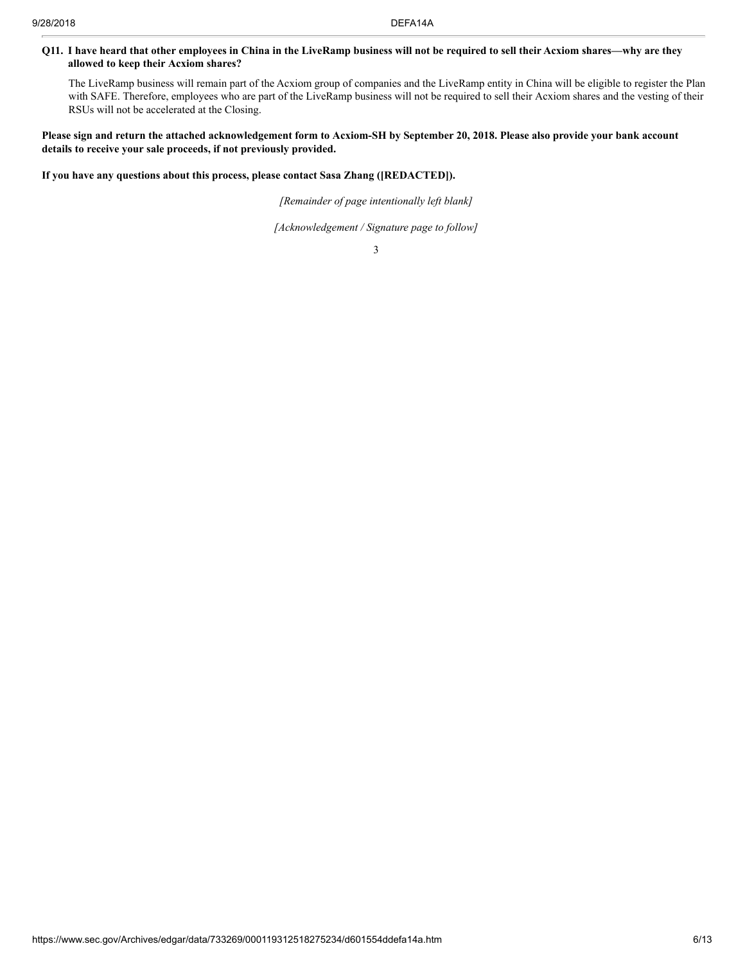# Q11. I have heard that other employees in China in the LiveRamp business will not be required to sell their Acxiom shares—why are they **allowed to keep their Acxiom shares?**

The LiveRamp business will remain part of the Acxiom group of companies and the LiveRamp entity in China will be eligible to register the Plan with SAFE. Therefore, employees who are part of the LiveRamp business will not be required to sell their Acxiom shares and the vesting of their RSUs will not be accelerated at the Closing.

# Please sign and return the attached acknowledgement form to Acxiom-SH by September 20, 2018. Please also provide your bank account **details to receive your sale proceeds, if not previously provided.**

**If you have any questions about this process, please contact Sasa Zhang ([REDACTED]).**

*[Remainder of page intentionally left blank]*

*[Acknowledgement / Signature page to follow]*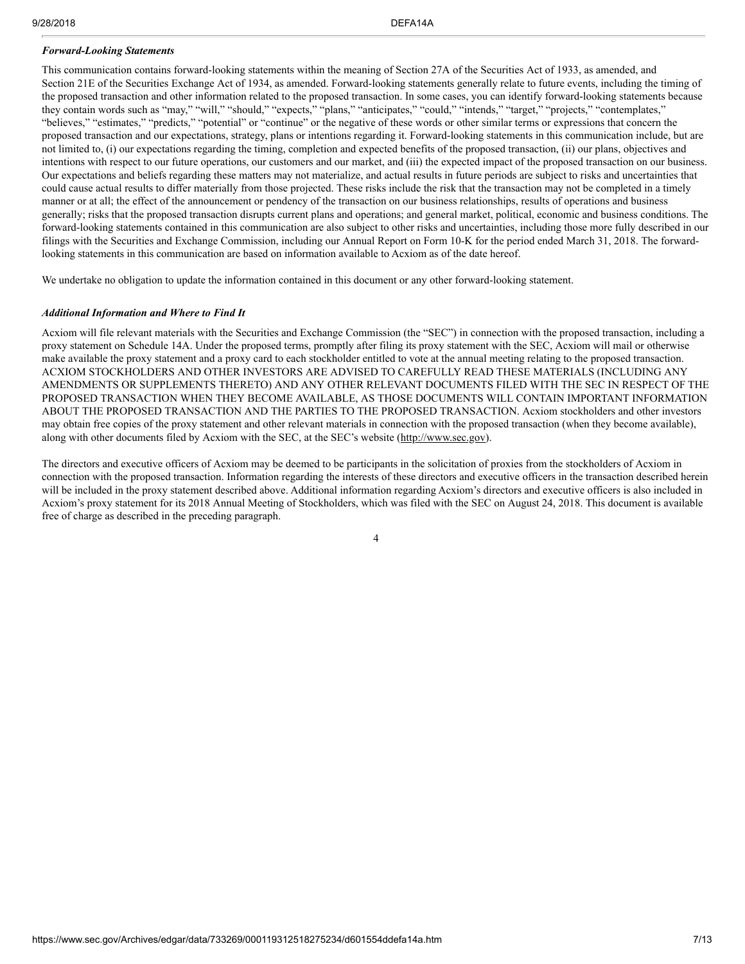#### *Forward-Looking Statements*

This communication contains forward-looking statements within the meaning of Section 27A of the Securities Act of 1933, as amended, and Section 21E of the Securities Exchange Act of 1934, as amended. Forward-looking statements generally relate to future events, including the timing of the proposed transaction and other information related to the proposed transaction. In some cases, you can identify forward-looking statements because they contain words such as "may," "will," "should," "expects," "plans," "anticipates," "could," "intends," "target," "projects," "contemplates," "believes," "estimates," "predicts," "potential" or "continue" or the negative of these words or other similar terms or expressions that concern the proposed transaction and our expectations, strategy, plans or intentions regarding it. Forward-looking statements in this communication include, but are not limited to, (i) our expectations regarding the timing, completion and expected benefits of the proposed transaction, (ii) our plans, objectives and intentions with respect to our future operations, our customers and our market, and (iii) the expected impact of the proposed transaction on our business. Our expectations and beliefs regarding these matters may not materialize, and actual results in future periods are subject to risks and uncertainties that could cause actual results to differ materially from those projected. These risks include the risk that the transaction may not be completed in a timely manner or at all; the effect of the announcement or pendency of the transaction on our business relationships, results of operations and business generally; risks that the proposed transaction disrupts current plans and operations; and general market, political, economic and business conditions. The forward-looking statements contained in this communication are also subject to other risks and uncertainties, including those more fully described in our filings with the Securities and Exchange Commission, including our Annual Report on Form 10-K for the period ended March 31, 2018. The forwardlooking statements in this communication are based on information available to Acxiom as of the date hereof.

We undertake no obligation to update the information contained in this document or any other forward-looking statement.

#### *Additional Information and Where to Find It*

Acxiom will file relevant materials with the Securities and Exchange Commission (the "SEC") in connection with the proposed transaction, including a proxy statement on Schedule 14A. Under the proposed terms, promptly after filing its proxy statement with the SEC, Acxiom will mail or otherwise make available the proxy statement and a proxy card to each stockholder entitled to vote at the annual meeting relating to the proposed transaction. ACXIOM STOCKHOLDERS AND OTHER INVESTORS ARE ADVISED TO CAREFULLY READ THESE MATERIALS (INCLUDING ANY AMENDMENTS OR SUPPLEMENTS THERETO) AND ANY OTHER RELEVANT DOCUMENTS FILED WITH THE SEC IN RESPECT OF THE PROPOSED TRANSACTION WHEN THEY BECOME AVAILABLE, AS THOSE DOCUMENTS WILL CONTAIN IMPORTANT INFORMATION ABOUT THE PROPOSED TRANSACTION AND THE PARTIES TO THE PROPOSED TRANSACTION. Acxiom stockholders and other investors may obtain free copies of the proxy statement and other relevant materials in connection with the proposed transaction (when they become available), along with other documents filed by Acxiom with the SEC, at the SEC's website (http://www.sec.gov).

The directors and executive officers of Acxiom may be deemed to be participants in the solicitation of proxies from the stockholders of Acxiom in connection with the proposed transaction. Information regarding the interests of these directors and executive officers in the transaction described herein will be included in the proxy statement described above. Additional information regarding Acxiom's directors and executive officers is also included in Acxiom's proxy statement for its 2018 Annual Meeting of Stockholders, which was filed with the SEC on August 24, 2018. This document is available free of charge as described in the preceding paragraph.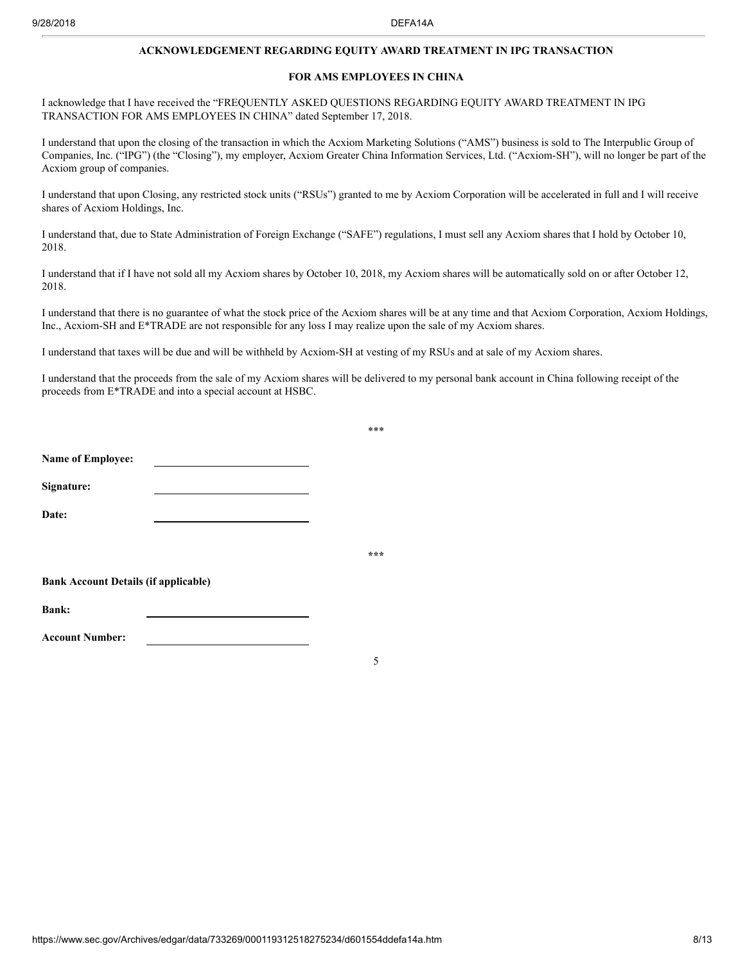#### **ACKNOWLEDGEMENT REGARDING EQUITY AWARD TREATMENT IN IPG TRANSACTION**

#### **FOR AMS EMPLOYEES IN CHINA**

I acknowledge that I have received the "FREQUENTLY ASKED QUESTIONS REGARDING EQUITY AWARD TREATMENT IN IPG TRANSACTION FOR AMS EMPLOYEES IN CHINA" dated September 17, 2018.

I understand that upon the closing of the transaction in which the Acxiom Marketing Solutions ("AMS") business is sold to The Interpublic Group of Companies, Inc. ("IPG") (the "Closing"), my employer, Acxiom Greater China Information Services, Ltd. ("Acxiom-SH"), will no longer be part of the Acxiom group of companies.

I understand that upon Closing, any restricted stock units ("RSUs") granted to me by Acxiom Corporation will be accelerated in full and I will receive shares of Acxiom Holdings, Inc.

I understand that, due to State Administration of Foreign Exchange ("SAFE") regulations, I must sell any Acxiom shares that I hold by October 10, 2018.

I understand that if I have not sold all my Acxiom shares by October 10, 2018, my Acxiom shares will be automatically sold on or after October 12, 2018.

I understand that there is no guarantee of what the stock price of the Acxiom shares will be at any time and that Acxiom Corporation, Acxiom Holdings, Inc., Acxiom-SH and E\*TRADE are not responsible for any loss I may realize upon the sale of my Acxiom shares.

I understand that taxes will be due and will be withheld by Acxiom-SH at vesting of my RSUs and at sale of my Acxiom shares.

I understand that the proceeds from the sale of my Acxiom shares will be delivered to my personal bank account in China following receipt of the proceeds from E\*TRADE and into a special account at HSBC.

|                                             | *** |
|---------------------------------------------|-----|
|                                             |     |
|                                             |     |
|                                             |     |
|                                             | *** |
| <b>Bank Account Details (if applicable)</b> |     |
|                                             |     |
|                                             |     |
|                                             | 5   |
|                                             |     |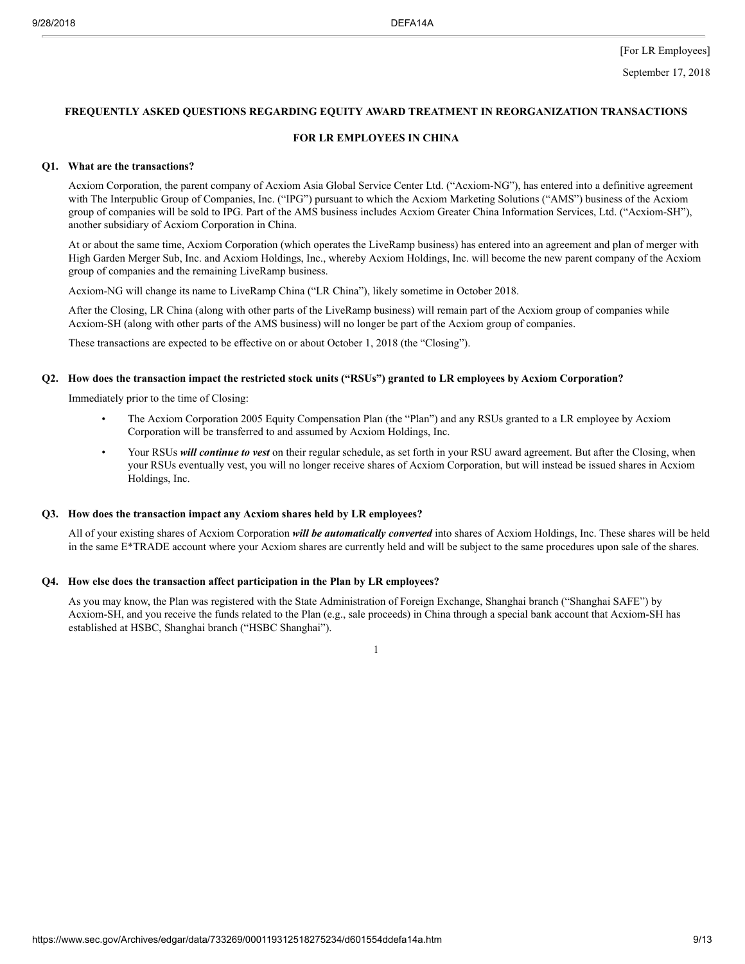[For LR Employees]

#### **FREQUENTLY ASKED QUESTIONS REGARDING EQUITY AWARD TREATMENT IN REORGANIZATION TRANSACTIONS**

#### **FOR LR EMPLOYEES IN CHINA**

#### **Q1. What are the transactions?**

Acxiom Corporation, the parent company of Acxiom Asia Global Service Center Ltd. ("Acxiom-NG"), has entered into a definitive agreement with The Interpublic Group of Companies, Inc. ("IPG") pursuant to which the Acxiom Marketing Solutions ("AMS") business of the Acxiom group of companies will be sold to IPG. Part of the AMS business includes Acxiom Greater China Information Services, Ltd. ("Acxiom-SH"), another subsidiary of Acxiom Corporation in China.

At or about the same time, Acxiom Corporation (which operates the LiveRamp business) has entered into an agreement and plan of merger with High Garden Merger Sub, Inc. and Acxiom Holdings, Inc., whereby Acxiom Holdings, Inc. will become the new parent company of the Acxiom group of companies and the remaining LiveRamp business.

Acxiom-NG will change its name to LiveRamp China ("LR China"), likely sometime in October 2018.

After the Closing, LR China (along with other parts of the LiveRamp business) will remain part of the Acxiom group of companies while Acxiom-SH (along with other parts of the AMS business) will no longer be part of the Acxiom group of companies.

These transactions are expected to be effective on or about October 1, 2018 (the "Closing").

#### Q2. How does the transaction impact the restricted stock units ("RSUs") granted to LR employees by Acxiom Corporation?

Immediately prior to the time of Closing:

- The Acxiom Corporation 2005 Equity Compensation Plan (the "Plan") and any RSUs granted to a LR employee by Acxiom Corporation will be transferred to and assumed by Acxiom Holdings, Inc.
- Your RSUs *will continue to vest* on their regular schedule, as set forth in your RSU award agreement. But after the Closing, when your RSUs eventually vest, you will no longer receive shares of Acxiom Corporation, but will instead be issued shares in Acxiom Holdings, Inc.

#### **Q3. How does the transaction impact any Acxiom shares held by LR employees?**

All of your existing shares of Acxiom Corporation *will be automatically converted* into shares of Acxiom Holdings, Inc. These shares will be held in the same E\*TRADE account where your Acxiom shares are currently held and will be subject to the same procedures upon sale of the shares.

# **Q4. How else does the transaction affect participation in the Plan by LR employees?**

As you may know, the Plan was registered with the State Administration of Foreign Exchange, Shanghai branch ("Shanghai SAFE") by Acxiom-SH, and you receive the funds related to the Plan (e.g., sale proceeds) in China through a special bank account that Acxiom-SH has established at HSBC, Shanghai branch ("HSBC Shanghai").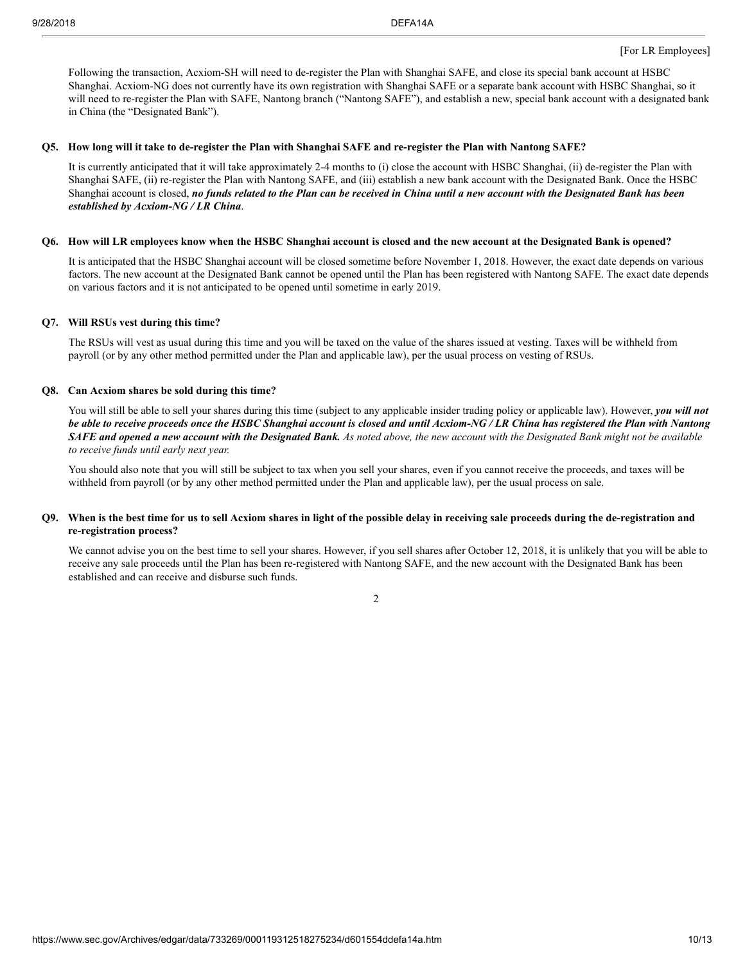Following the transaction, Acxiom-SH will need to de-register the Plan with Shanghai SAFE, and close its special bank account at HSBC Shanghai. Acxiom-NG does not currently have its own registration with Shanghai SAFE or a separate bank account with HSBC Shanghai, so it will need to re-register the Plan with SAFE, Nantong branch ("Nantong SAFE"), and establish a new, special bank account with a designated bank in China (the "Designated Bank").

#### Q5. How long will it take to de-register the Plan with Shanghai SAFE and re-register the Plan with Nantong SAFE?

It is currently anticipated that it will take approximately 2-4 months to (i) close the account with HSBC Shanghai, (ii) de-register the Plan with Shanghai SAFE, (ii) re-register the Plan with Nantong SAFE, and (iii) establish a new bank account with the Designated Bank. Once the HSBC Shanghai account is closed, no funds related to the Plan can be received in China until a new account with the Designated Bank has been *established by Acxiom-NG / LR China*.

#### Q6. How will LR employees know when the HSBC Shanghai account is closed and the new account at the Designated Bank is opened?

It is anticipated that the HSBC Shanghai account will be closed sometime before November 1, 2018. However, the exact date depends on various factors. The new account at the Designated Bank cannot be opened until the Plan has been registered with Nantong SAFE. The exact date depends on various factors and it is not anticipated to be opened until sometime in early 2019.

#### **Q7. Will RSUs vest during this time?**

The RSUs will vest as usual during this time and you will be taxed on the value of the shares issued at vesting. Taxes will be withheld from payroll (or by any other method permitted under the Plan and applicable law), per the usual process on vesting of RSUs.

#### **Q8. Can Acxiom shares be sold during this time?**

You will still be able to sell your shares during this time (subject to any applicable insider trading policy or applicable law). However, *you will not* be able to receive proceeds once the HSBC Shanghai account is closed and until Acxiom-NG / LR China has registered the Plan with Nantong SAFE and opened a new account with the Designated Bank. As noted above, the new account with the Designated Bank might not be available *to receive funds until early next year.*

You should also note that you will still be subject to tax when you sell your shares, even if you cannot receive the proceeds, and taxes will be withheld from payroll (or by any other method permitted under the Plan and applicable law), per the usual process on sale.

# Q9. When is the best time for us to sell Acxiom shares in light of the possible delay in receiving sale proceeds during the de-registration and **re-registration process?**

We cannot advise you on the best time to sell your shares. However, if you sell shares after October 12, 2018, it is unlikely that you will be able to receive any sale proceeds until the Plan has been re-registered with Nantong SAFE, and the new account with the Designated Bank has been established and can receive and disburse such funds.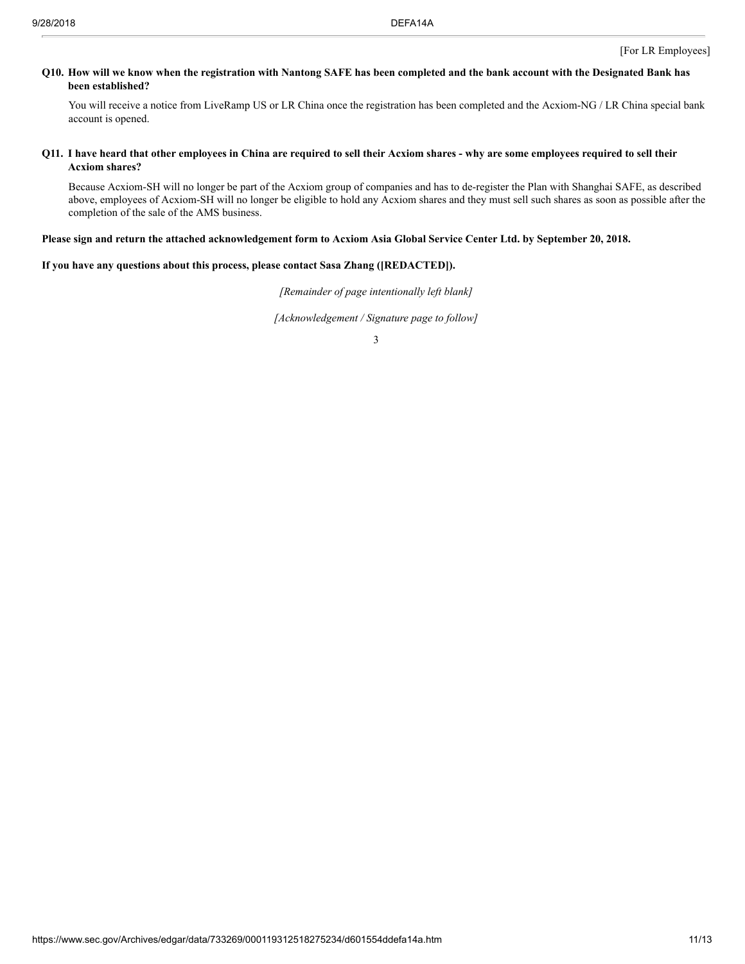# Q10. How will we know when the registration with Nantong SAFE has been completed and the bank account with the Designated Bank has **been established?**

You will receive a notice from LiveRamp US or LR China once the registration has been completed and the Acxiom-NG / LR China special bank account is opened.

# Q11. I have heard that other employees in China are required to sell their Acxiom shares - why are some employees required to sell their **Acxiom shares?**

Because Acxiom-SH will no longer be part of the Acxiom group of companies and has to de-register the Plan with Shanghai SAFE, as described above, employees of Acxiom-SH will no longer be eligible to hold any Acxiom shares and they must sell such shares as soon as possible after the completion of the sale of the AMS business.

# Please sign and return the attached acknowledgement form to Acxiom Asia Global Service Center Ltd. by September 20, 2018.

# **If you have any questions about this process, please contact Sasa Zhang ([REDACTED]).**

*[Remainder of page intentionally left blank]*

*[Acknowledgement / Signature page to follow]*

<sup>3</sup>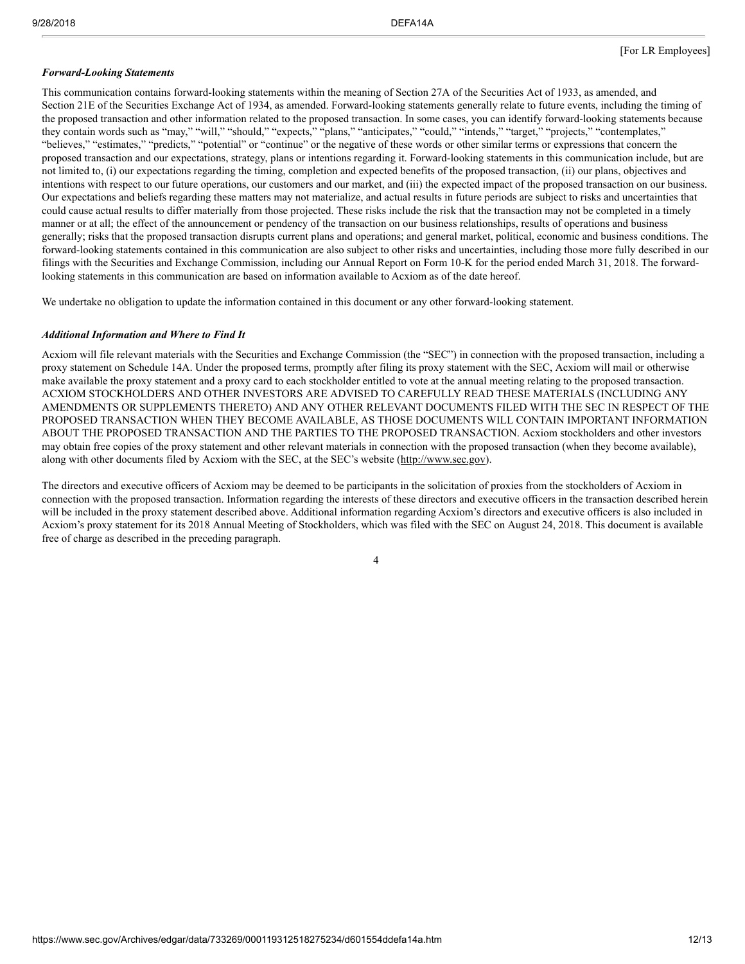# *Forward-Looking Statements*

This communication contains forward-looking statements within the meaning of Section 27A of the Securities Act of 1933, as amended, and Section 21E of the Securities Exchange Act of 1934, as amended. Forward-looking statements generally relate to future events, including the timing of the proposed transaction and other information related to the proposed transaction. In some cases, you can identify forward-looking statements because they contain words such as "may," "will," "should," "expects," "plans," "anticipates," "could," "intends," "target," "projects," "contemplates," "believes," "estimates," "predicts," "potential" or "continue" or the negative of these words or other similar terms or expressions that concern the proposed transaction and our expectations, strategy, plans or intentions regarding it. Forward-looking statements in this communication include, but are not limited to, (i) our expectations regarding the timing, completion and expected benefits of the proposed transaction, (ii) our plans, objectives and intentions with respect to our future operations, our customers and our market, and (iii) the expected impact of the proposed transaction on our business. Our expectations and beliefs regarding these matters may not materialize, and actual results in future periods are subject to risks and uncertainties that could cause actual results to differ materially from those projected. These risks include the risk that the transaction may not be completed in a timely manner or at all; the effect of the announcement or pendency of the transaction on our business relationships, results of operations and business generally; risks that the proposed transaction disrupts current plans and operations; and general market, political, economic and business conditions. The forward-looking statements contained in this communication are also subject to other risks and uncertainties, including those more fully described in our filings with the Securities and Exchange Commission, including our Annual Report on Form 10-K for the period ended March 31, 2018. The forwardlooking statements in this communication are based on information available to Acxiom as of the date hereof.

We undertake no obligation to update the information contained in this document or any other forward-looking statement.

# *Additional Information and Where to Find It*

Acxiom will file relevant materials with the Securities and Exchange Commission (the "SEC") in connection with the proposed transaction, including a proxy statement on Schedule 14A. Under the proposed terms, promptly after filing its proxy statement with the SEC, Acxiom will mail or otherwise make available the proxy statement and a proxy card to each stockholder entitled to vote at the annual meeting relating to the proposed transaction. ACXIOM STOCKHOLDERS AND OTHER INVESTORS ARE ADVISED TO CAREFULLY READ THESE MATERIALS (INCLUDING ANY AMENDMENTS OR SUPPLEMENTS THERETO) AND ANY OTHER RELEVANT DOCUMENTS FILED WITH THE SEC IN RESPECT OF THE PROPOSED TRANSACTION WHEN THEY BECOME AVAILABLE, AS THOSE DOCUMENTS WILL CONTAIN IMPORTANT INFORMATION ABOUT THE PROPOSED TRANSACTION AND THE PARTIES TO THE PROPOSED TRANSACTION. Acxiom stockholders and other investors may obtain free copies of the proxy statement and other relevant materials in connection with the proposed transaction (when they become available), along with other documents filed by Acxiom with the SEC, at the SEC's website (http://www.sec.gov).

The directors and executive officers of Acxiom may be deemed to be participants in the solicitation of proxies from the stockholders of Acxiom in connection with the proposed transaction. Information regarding the interests of these directors and executive officers in the transaction described herein will be included in the proxy statement described above. Additional information regarding Acxiom's directors and executive officers is also included in Acxiom's proxy statement for its 2018 Annual Meeting of Stockholders, which was filed with the SEC on August 24, 2018. This document is available free of charge as described in the preceding paragraph.